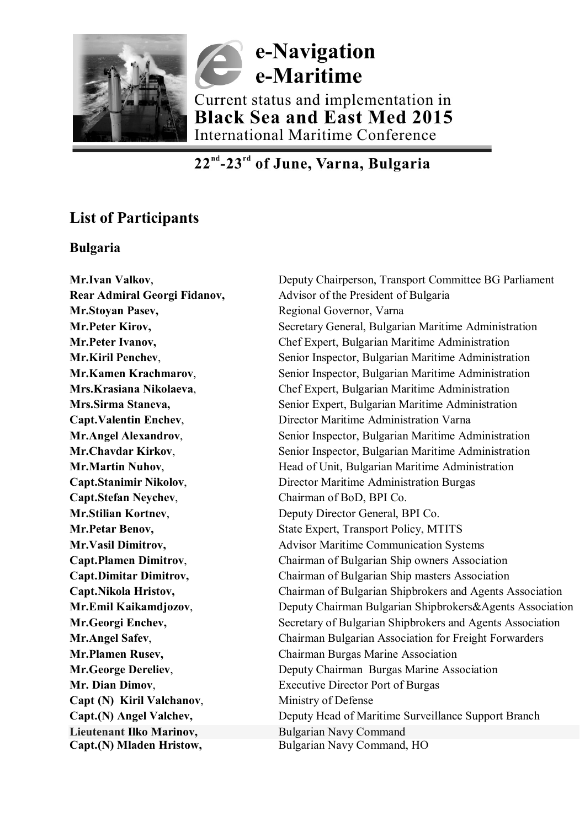

# e-Navigation e-Maritime Current status and implementation in **Black Sea and East Med 2015** International Maritime Conference

## 22<sup>nd</sup>-23<sup>rd</sup> of June, Varna, Bulgaria

### **List of Participants**

### **Bulgaria**

**Mr.Stoyan Pasev,** Regional Governor, Varna **Capt.Stefan Neychev**, Chairman of BoD, BPI Co. **Capt (N) Kiril Valchanov,** Ministry of Defense **Lieutenant Ilko Marinov, Bulgarian Navy Command Capt.(N) Mladen Hristow,** Bulgarian Navy Command, HO

**Mr.Ivan Valkov, Superior Committee BG Parliament** Deputy Chairperson, Transport Committee BG Parliament **Rear Admiral Georgi Fidanov,** Advisor of the President of Bulgaria **Mr.Peter Kirov,** Secretary General, Bulgarian Maritime Administration **Mr.Peter Ivanov,** Chef Expert, Bulgarian Maritime Administration **Mr.Kiril Penchev,** Senior Inspector, Bulgarian Maritime Administration **Mr.Kamen Krachmarov, Senior Inspector, Bulgarian Maritime Administration Mrs.Krasiana Nikolaeva**, Chef Expert, Bulgarian Maritime Administration **Mrs.Sirma Staneva,** Senior Expert, Bulgarian Maritime Administration **Capt.Valentin Enchev**, Director Maritime Administration Varna **Mr.Angel Alexandrov.** Senior Inspector, Bulgarian Maritime Administration **Mr.Chavdar Kirkov, Senior Inspector, Bulgarian Maritime Administration Mr.Martin Nuhov,** Head of Unit, Bulgarian Maritime Administration **Capt.Stanimir Nikolov, Standard Burgas** Director Maritime Administration Burgas **Mr.Stilian Kortney, Superior Community Director General, BPI Co. Mr.Petar Benov, State Expert, Transport Policy, MTITS Mr.Vasil Dimitrov,** Advisor Maritime Communication Systems **Capt.Plamen Dimitrov**, Chairman of Bulgarian Ship owners Association **Capt.Dimitar Dimitrov,** Chairman of Bulgarian Ship masters Association **Capt.Nikola Hristov,** Chairman of Bulgarian Shipbrokers and Agents Association **Mr.Emil Kaikamdjozov,** Deputy Chairman Bulgarian Shipbrokers&Agents Association **Mr.Georgi Enchev,** Secretary of Bulgarian Shipbrokers and Agents Association **Mr.Angel Safev,** Chairman Bulgarian Association for Freight Forwarders **Mr.Plamen Rusev,** Chairman Burgas Marine Association **Mr.George Dereliev,** Deputy Chairman Burgas Marine Association **Mr. Dian Dimov,** Executive Director Port of Burgas **Capt.(N) Angel Valchev,** Deputy Head of Maritime Surveillance Support Branch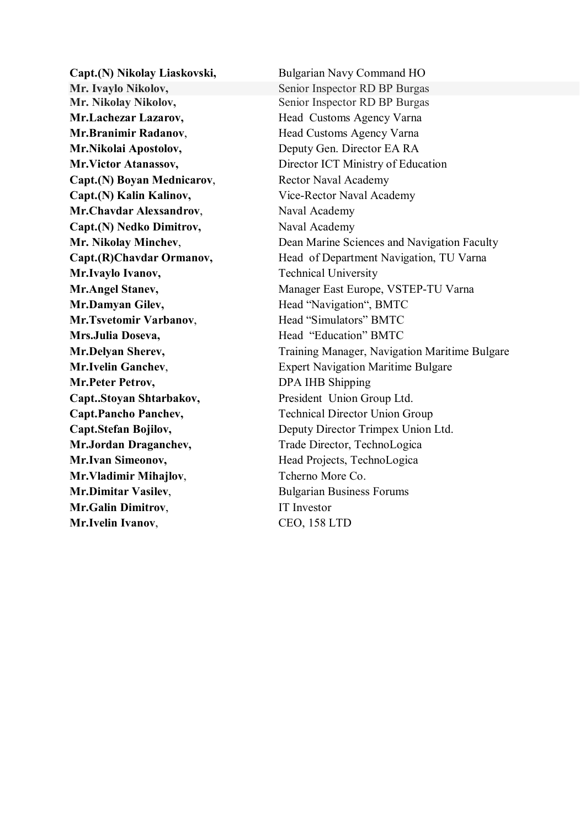**Mr. Ivaylo Nikolov,** Senior Inspector RD BP Burgas **Mr. Nikolay Nikolov,** Senior Inspector RD BP Burgas **Mr.Lachezar Lazarov, <br>
Head Customs Agency Varna Mr.Branimir Radanov, School Head Customs Agency Varna Mr.Nikolai Apostolov, School Benuty Gen. Director EA RA Capt.(N) Boyan Mednicarov,** Rector Naval Academy **Capt.(N) Kalin Kalinov,** Vice-Rector Naval Academy **Mr.Chavdar Alexsandrov, Naval Academy Capt.(N) Nedko Dimitrov,** Naval Academy **Mr.Ivaylo Ivanov,** Technical University **Mr.Damyan Gilev,** Head "Navigation", BMTC **Mr.Tsvetomir Varbanov**, **Head "Simulators" BMTC Mrs.Julia Doseva,** Head "Education" BMTC **Mr.Peter Petrov, DPA IHB Shipping Capt..Stoyan Shtarbakov,** President Union Group Ltd. **Mr.Jordan Draganchev,** Trade Director, TechnoLogica **Mr.Ivan Simeonov,** Head Projects, TechnoLogica **Mr. Vladimir Mihajlov**, Tcherno More Co. **Mr.Dimitar Vasilev, Bulgarian Business Forums Mr.Galin Dimitrov.** IT Investor **Mr.Ivelin Ivanov**, CEO, 158 LTD

**Capt.(N) Nikolay Liaskovski,** Bulgarian Navy Command HO **Mr.Victor Atanassov,** Director ICT Ministry of Education **Mr. Nikolay Minchey,** Dean Marine Sciences and Navigation Faculty **Capt.(R)Chavdar Ormanov,** Head of Department Navigation, TU Varna **Mr.Angel Stanev,** Manager East Europe, VSTEP-TU Varna **Mr.Delyan Sherev,** Training Manager, Navigation Maritime Bulgare **Mr.Ivelin Ganchev,** Expert Navigation Maritime Bulgare Capt.Pancho Panchev, Technical Director Union Group **Capt.Stefan Bojilov,** Deputy Director Trimpex Union Ltd.